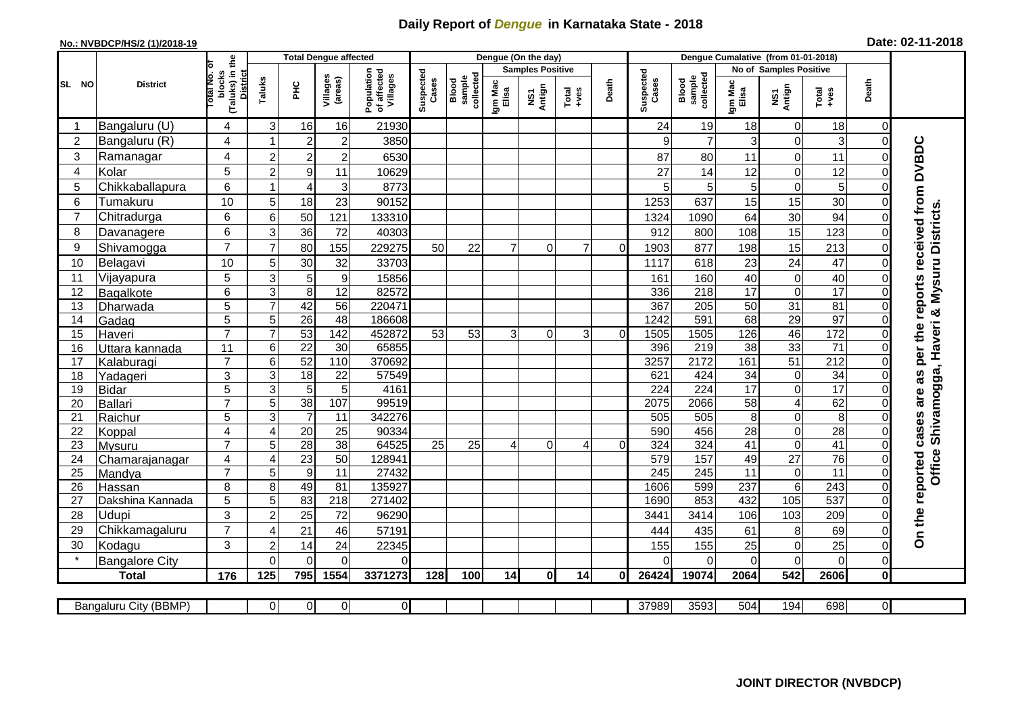## **Daily Report of** *Dengue* **in Karnataka State - 2018**

## **No.: NVBDCP/HS/2 (1)/2018-19 Date: 02-11-2018**

|                | <b>District</b>          |                                                             | <b>Total Dengue affected</b> |                  |                     |                                       |                    |                              |                         | Dengue (On the day) |                |          |                    |                              |                        |                               |                        |                               |                                                                  |
|----------------|--------------------------|-------------------------------------------------------------|------------------------------|------------------|---------------------|---------------------------------------|--------------------|------------------------------|-------------------------|---------------------|----------------|----------|--------------------|------------------------------|------------------------|-------------------------------|------------------------|-------------------------------|------------------------------------------------------------------|
|                |                          |                                                             |                              |                  |                     |                                       | Suspected<br>Cases |                              | <b>Samples Positive</b> |                     |                |          |                    |                              | No of Samples Positive |                               |                        |                               |                                                                  |
| SL NO          |                          | (Taluks) in the<br>otal No. or<br>blocks<br><b>District</b> | Taluks                       | PНC              | Villages<br>(areas) | Population<br>of affected<br>Villages |                    | sample<br>collected<br>Blood | Igm Mac<br>Elisa        | NS1<br>Antign       | $Total$        | Death    | Suspected<br>Cases | collected<br>sample<br>Blood | Igm Mac<br>Elisa       | NS1<br>Antign                 | Death<br>Total<br>+ves |                               |                                                                  |
| -1             | Bangaluru (U)            | 4                                                           | 3                            | 16               | 16                  | 21930                                 |                    |                              |                         |                     |                |          | 24                 | 19                           | 18                     | 0                             | 18                     | 0                             |                                                                  |
| $\overline{2}$ | Bangaluru (R)            | 4                                                           | -1                           | $\overline{c}$   | $\overline{2}$      | 3850                                  |                    |                              |                         |                     |                |          | 9                  | $\overline{7}$               | 3                      | $\mathbf 0$                   | 3                      | $\mathbf 0$                   |                                                                  |
| 3              | Ramanagar                | 4                                                           | $\overline{2}$               | $\mathbf{2}$     | $\overline{2}$      | 6530                                  |                    |                              |                         |                     |                |          | 87                 | 80                           | 11                     | $\mathbf 0$                   | 11                     | $\Omega$                      |                                                                  |
| 4              | Kolar                    | 5                                                           | $\overline{2}$               | 9                | 11                  | 10629                                 |                    |                              |                         |                     |                |          | 27                 | 14                           | 12                     | $\mathbf 0$                   | 12                     | $\Omega$                      |                                                                  |
| 5              | Chikkaballapura          | 6                                                           | -1                           | $\overline{4}$   | 3                   | 8773                                  |                    |                              |                         |                     |                |          | 5                  | 5 <sup>1</sup>               | 5                      | $\mathbf 0$                   | 5                      | $\Omega$                      |                                                                  |
| 6              | Tumakuru                 | 10                                                          | 5                            | 18               | 23                  | 90152                                 |                    |                              |                         |                     |                |          | 1253               | 637                          | 15                     | 15                            | 30                     | $\Omega$                      |                                                                  |
| $\overline{7}$ | Chitradurga              | 6                                                           | 6                            | 50               | 121                 | 133310                                |                    |                              |                         |                     |                |          | 1324               | 1090                         | 64                     | 30                            | 94                     | $\Omega$                      |                                                                  |
| 8              | Davanagere               | 6                                                           | 3                            | 36               | 72                  | 40303                                 |                    |                              |                         |                     |                |          | 912                | 800                          | 108                    | 15                            | 123                    | $\Omega$                      | & Mysuru Districts                                               |
| 9              | Shivamogga               | $\overline{7}$                                              |                              | 80               | 155                 | 229275                                | 50                 | 22                           | 7                       | $\Omega$            | $\overline{7}$ | $\Omega$ | 1903               | 877                          | 198                    | 15                            | 213                    | $\mathbf 0$                   |                                                                  |
| 10             | Belagavi                 | 10                                                          | 5                            | 30               | 32                  | 33703                                 |                    |                              |                         |                     |                |          | 1117               | 618                          | 23                     | 24                            | 47                     | $\Omega$                      |                                                                  |
| 11             | Vijayapura               | 5                                                           | 3                            | 5                | 9                   | 15856                                 |                    |                              |                         |                     |                |          | 161                | 160                          | 40                     | $\mathbf 0$                   | 40                     | $\mathbf 0$                   |                                                                  |
| 12             | Bagalkote                | 6                                                           | 3                            | 8                | 12                  | 82572                                 |                    |                              |                         |                     |                |          | 336                | 218                          | 17                     | $\overline{0}$                | 17                     | $\mathbf 0$                   |                                                                  |
| 13             | Dharwada                 | 5                                                           |                              | 42               | 56                  | 220471                                |                    |                              |                         |                     |                |          | 367                | 205                          | 50                     | $\overline{31}$               | 81                     | $\Omega$                      |                                                                  |
| 14             | Gadag                    | $\overline{5}$                                              | 5                            | 26               | 48                  | 186608                                |                    |                              |                         |                     |                |          | 1242               | 591                          | 68                     | 29                            | 97                     | $\Omega$                      |                                                                  |
| 15             | Haveri                   | $\overline{7}$                                              | $\overline{7}$               | 53               | 142                 | 452872                                | 53                 | 53                           | 3                       | $\Omega$            | 3              | $\Omega$ | 1505               | 1505                         | 126                    | 46                            | $\frac{1}{172}$        | $\mathbf 0$                   |                                                                  |
| 16             | Uttara kannada           | $\overline{11}$                                             | 6                            | $\overline{22}$  | $\overline{30}$     | 65855                                 |                    |                              |                         |                     |                |          | 396                | 219                          | $\overline{38}$        | 33                            | $\overline{71}$        | $\mathbf 0$                   |                                                                  |
| 17             | Kalaburagi               | $\overline{7}$                                              | 6                            | 52               | 110                 | 370692                                |                    |                              |                         |                     |                |          | 3257               | 2172                         | 161                    | 51                            | 212                    | $\Omega$                      |                                                                  |
| 18             | Yadageri                 | 3                                                           | 3                            | 18               | 22                  | 57549                                 |                    |                              |                         |                     |                |          | 621                | 424                          | 34                     | $\mathbf 0$                   | $\overline{34}$        | $\Omega$                      |                                                                  |
| 19             | <b>Bidar</b>             | 5                                                           | 3                            | 5                | 5                   | 4161                                  |                    |                              |                         |                     |                |          | $\overline{224}$   | $\overline{224}$             | $\overline{17}$        | $\mathbf 0$                   | 17                     | $\Omega$                      |                                                                  |
| 20             | <b>Ballari</b>           | $\overline{7}$                                              | 5                            | 38               | 107                 | 99519                                 |                    |                              |                         |                     |                |          | 2075               | 2066                         | 58                     | $\overline{4}$                | 62                     | $\overline{0}$                | Shivamogga, Haveri                                               |
| 21             | Raichur                  | 5                                                           | 3                            | $\overline{7}$   | $\overline{11}$     | 342276                                |                    |                              |                         |                     |                |          | 505                | 505                          | 8                      | $\mathbf 0$                   | $\overline{8}$         | $\mathbf 0$                   |                                                                  |
| 22<br>23       | Koppal                   | 4<br>$\overline{7}$                                         | 4<br>5                       | 20<br>28         | 25<br>38            | 90334<br>64525                        | $\overline{25}$    | $\overline{25}$              | 4                       | $\Omega$            | 4              | $\Omega$ | 590<br>324         | 456<br>324                   | 28<br>41               | $\mathbf 0$<br>$\overline{0}$ | $\overline{28}$<br>41  | $\mathbf 0$<br>$\overline{0}$ |                                                                  |
| 24             | Mysuru                   | 4                                                           | $\overline{4}$               | $\overline{23}$  | 50                  | 128941                                |                    |                              |                         |                     |                |          | 579                | 157                          | 49                     | $\overline{27}$               | $\overline{76}$        | $\Omega$                      |                                                                  |
| 25             | Chamarajanagar<br>Mandya | $\overline{7}$                                              | 5                            | $\boldsymbol{9}$ | 11                  | 27432                                 |                    |                              |                         |                     |                |          | 245                | $\overline{245}$             | $\overline{11}$        | $\boldsymbol{0}$              | $\overline{11}$        | $\mathbf 0$                   | Office                                                           |
| 26             | Hassan                   | 8                                                           | 8                            | 49               | 81                  | 135927                                |                    |                              |                         |                     |                |          | 1606               | 599                          | 237                    | $\overline{6}$                | $\overline{243}$       | $\mathbf 0$                   |                                                                  |
| 27             | Dakshina Kannada         | 5                                                           | 5                            | 83               | $\overline{218}$    | 271402                                |                    |                              |                         |                     |                |          | 1690               | 853                          | 432                    | 105                           | 537                    | $\Omega$                      |                                                                  |
| 28             | Udupi                    | 3                                                           | $\overline{2}$               | 25               | 72                  | 96290                                 |                    |                              |                         |                     |                |          | 3441               | 3414                         | 106                    | 103                           | 209                    | $\Omega$                      | On the reported cases are as per the reports received from DVBDC |
| 29             | Chikkamagaluru           | $\overline{7}$                                              | Δ                            | 21               | 46                  | 57191                                 |                    |                              |                         |                     |                |          | 444                | 435                          | 61                     | 8                             | 69                     | $\Omega$                      |                                                                  |
| 30             | Kodagu                   | 3                                                           | $\overline{c}$               | 14               | 24                  | 22345                                 |                    |                              |                         |                     |                |          | 155                | 155                          | 25                     | $\mathbf 0$                   | 25                     | $\mathbf 0$                   |                                                                  |
|                | <b>Bangalore City</b>    |                                                             | $\Omega$                     | $\Omega$         | $\Omega$            | 0                                     |                    |                              |                         |                     |                |          | $\Omega$           | $\Omega$                     | $\Omega$               | $\overline{0}$                | $\mathbf 0$            | $\mathbf 0$                   |                                                                  |
|                | <b>Total</b>             | 176                                                         | 125                          | 795              | 1554                | 3371273                               | 128                | 100                          | 14                      | 0                   | 14             | 0l       | 26424              | 19074                        | 2064                   | 542                           | 2606                   | $\mathbf{0}$                  |                                                                  |
|                |                          |                                                             |                              |                  |                     |                                       |                    |                              |                         |                     |                |          |                    |                              |                        |                               |                        |                               |                                                                  |
|                | Bangaluru City (BBMP)    |                                                             | $\Omega$                     | $\overline{0}$   | $\overline{0}$      | $\overline{0}$                        |                    |                              |                         |                     |                |          | 37989              | 3593                         | 504                    | 194                           | 698                    | $\overline{0}$                |                                                                  |